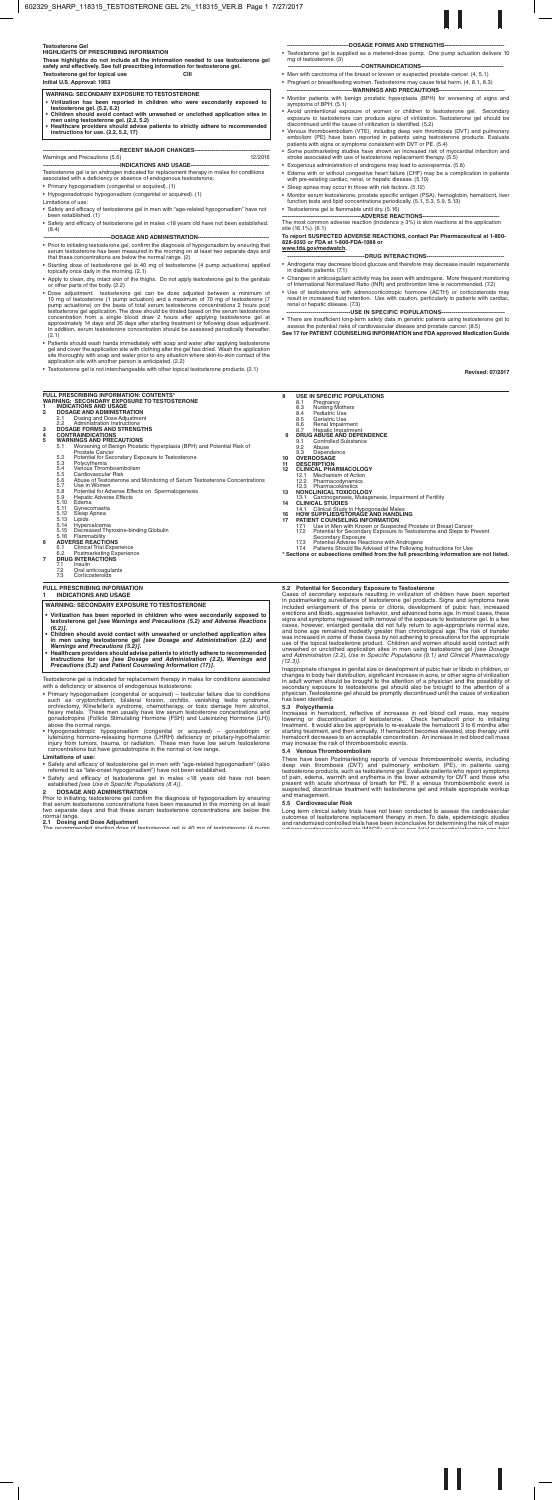# **Testosterone Gel**

# **HIGHLIGHTS OF PRESCRIBING INFORMATION**

**These highlights do not include all the information needed to use testosterone gel safely and effectively. See full prescribing information for testosterone gel. Testosterone gel for topical use CIII**

**Initial U.S. Approval: 1953**

Testosterone gel is an androgen indicated for replacement therapy in males for conditions associated with a deficiency or absence of endogenous testosterone:

- Primary hypogonadism (congenital or acquired). (1)
- Hypogonadotropic hypogonadism (congenital or acquired). (1) Limitations of use:
- Safety and efficacy of testosterone gel in men with "age-related hypogonadism" have not been established. (1)
- Safety and efficacy of testosterone gel in males <18 years old have not been established. (8.4)

### -DOSAGE AND ADMINISTRATION-

- Prior to initiating testosterone gel, confirm the diagnosis of hypogonadism by ensuring that serum testosterone has been measured in the morning on at least two separate days and that these concentrations are below the normal range. (2)
- Starting dose of testosterone gel is 40 mg of testosterone (4 pump actuations) applied topically once daily in the morning. (2.1)
- Apply to clean, dry, intact skin of the thighs. Do not apply testosterone gel to the genitals or other parts of the body. (2.2)
- Dose adjustment: testosterone gel can be dose adjusted between a minimum of 10 mg of testosterone (1 pump actuation) and a maximum of 70 mg of testosterone (7 mg of testosterone (7 mg of testosterone (7 mg of testosteron
- Patients should wash hands immediately with soap and water after applying testosterone gel and cover the application site with clothing after the gel has dried. Wash the application site thoroughly with soap and water pr
- Testosterone gel is not interchangeable with other topical testosterone products. (2.1)

- Androgens may decrease blood glucose and therefore may decrease insulin requirements in diabetic patients. (7.1)
- Changes in anticoagulant activity may be seen with androgens. More frequent monitoring of International Normalized Ratio (INR) and prothrombin time is recommended. (7.2)
- Use of testosterone with adrenocorticotropic hormone (ACTH) or corticosteroids may result in increased fluid retention. Use with caution, particularly in patients with cardiac, renal or hepatic disease. (7.3)
- -USE IN SPECIFIC POPULATIONS-

- **8 USE IN SPECIFIC POPULATIONS**<br>8.1 **Pregnancy** 
	-
	- 8.1 Pregnancy 8.3 Nursing Mothers 8.4 Pediatric Use 8.5 Geriatric Use 8.3 Nursing Mothers<br>8.4 Pediatric Use<br>8.5 Geriatric Use<br>8.6 Renal Impairment
	-
	-
- 8.7 Hepatic Impairment  **9 DRUG ABUSE AND DEPENDENCE**
- 
- 9.1 Controlled Substance 9.2 Abuse 9.3 Dependence **10 OVERDOSAGE**
- 
- 
- **11 DESCRIPTION 12 CLINICAL PHARMACOLOGY**
- 
- 12.1 Mechanism of Action 12.2 Pharmacodynamics 12.3 Pharmacokinetics **13 NONCLINICAL TOXICOLOGY**
- 
- 13.1 Carcinogenesis, Mutagenesis, Impairment of Fertility **14 CLINICAL STUDIES**

17.2 Potential for Secondary Exposure to Testosterone and Steps to Prevent<br>Secondary Exposure<br>17.3 Potential Adverse Reactions with Androgens<br>17.4 Patients Should Be Advised of the Following Instructions for Use<br>\* Sections

**5.2 Potential for Secondary Exposure to Testosterone**<br> **6.2 Cases** of secondary exposure resulting in virilization of children have been reported Cases of secondary exposure resulting in virilization of the perior contr

Inappropriate changes in genital size or development of pubic hair or libido in children, or<br>changes in body hair distribution, significant increase in acne, or other signs of virilization<br>in adult women should be brought

- Testosterone gel is supplied as a metered-dose pump. One pump actuation delivers 10 mg of testosterone. (3) -CONTRAINDICATIONS-
- Men with carcinoma of the breast or known or suspected prostate cancer. (4, 5.1)
- Pregnant or breastfeeding women. Testosterone may cause fetal harm. (4, 8.1, 8.3) --WARNINGS AND PRECAUTIONS-
- Monitor patients with benign prostatic hyperplasia (BPH) for worsening of signs and symptoms of BPH. (5.1)
- Avoid unintentional exposure of women or children to testosterone gel. Secondary<br>exposure to testosterone can produce signs of virilization. Testosterone gel should be<br>discontinued until the cause of virilization is iden
- Venous thromboembolism (VTE), including deep vein thrombosis (DVT) and pulmonary<br>embolism (PE) have been reported in patients using testosterone products. Evaluate<br>patients with signs or symptoms consistent with DVT or P
- Some postmarketing studies have shown an increased risk of myocardial infarction and stroke associated with use of testosterone replacement therapy. (5.5)
- Exogenous administration of androgens may lead to azoospermia. (5.8)
- Edema with or without congestive heart failure (CHF) may be a complication in patients with pre-existing cardiac, renal, or hepatic disease. (5.10)
- Sleep apnea may occur in those with risk factors. (5.12)
- Monitor serum testosterone, prostate specific antigen (PSA), hemoglobin, hematocrit, liver function tests and lipid concentrations periodically. (5.1, 5.3, 5.9, 5.13)
- Testosterone gel is flammable until dry. (5.16)

**2 DOSAGE AND ADMINISTRATION** Prior to initiating, testosterone gel confirm the diagnosis of hypogonadism by ensuring that serum testosterone concentrations have been measured in the morning on at least<br>two separate days and that these serum testosterone concentrations are below the<br>normal range.

**------------------------------------------ADVERSE REACTIONS-----------------------------------------** The most common adverse reaction (incidence ≥ 3%) is skin reactions at the application site (16.1%). (6.1)

**To report SUSPECTED ADVERSE REACTIONS, contact Par Pharmaceutical at 1-800- 828-9393 or FDA at 1-800-FDA-1088 or www.fda.gov/medwatch.**

**---------------------------------------DRUG INTERACTIONS---------------------------------------**

• There are insufficient long-term safety data in geriatric patients using testosterone gel to assess the potential risks of cardiovascular disease and prostate cancer. (8.5)

**See 17 for PATIENT COUNSELING INFORMATION and FDA approved Medication Guide**

**Revised: 07/2017**

# **FULL PRESCRIBING INFORMATION: CONTENTS\* WARNING: SECONDARY EXPOSURE TO TESTOSTERONE 1 INDICATIONS AND USAGE 2 DOSAGE AND ADMINISTRATION**

- 
- 
- 
- 
- 
- 2.1 Dosing and Dose Adjustment<br>
2.2 Administration Instructions<br> **DOSAGE FORMS AND STRENGTHS<br>
4 CONTRAINDICATIONS**<br> **WARNINGS AND PRECAUTIONS**<br>
5.1 Worsening of Benign Prostatic Hyperplasia (BPH) and Potential Risk of<br>
5.2
	-
	-
	-
	-
	- 5.5 Cardiovascular Risk<br>5.5 Cardiovascular Risk<br>5.6 Abuse of Testosterone and Monitoring of Serum Testosterone Concentrations<br>5.7 Use in Women
	- 5.7 Use in Women 5.8 Potential for Adverse Effects on Spermatogenesis 5.9 Hepatic Adverse Effects 5.8 Potentia<br>5.9 Hepatic<br>5.10 Edema<br>5.11 Gyneco<br>5.12 Sleep A
	-
	-
	- 5.11 Gynecomastia 5.12 Sleep Apnea
	-
	-
- 5.13 Lipids<br>
5.14 Hypercalcemia<br>
5.15 Decreased Thyroxine-binding Globulin<br>
5.16 Flammability<br>
6 ADVERSE REACTIONS<br>
6.1 Clinical Trial Experience<br>
6.2 Postmarketing Experience<br>
7 DRUG INTERACTIONS<br>
71 Insulin

- 
- 

- 
- 7.2 Oral anticoagulants 7.3 Corticosteroids

# **FULL PRESCRIBING INFORMATION 1 INDICATIONS AND USAGE**

Testosterone gel is indicated for replacement therapy in males for conditions associated with a deficiency or absence of endogenous testosterone:

- Primary hypogonadism (congenital or acquired) testicular failure due to conditions<br>such as cryptorchidism, bilitateal torsion, orchitis, vanishing testis syndrome,<br>orchictomy, Klinefelter's syndrome, chemotherapy, or t
- 

# **Limitations of use:**

Long term clinical safety trials have not been conducted to assess the cardiovascular outcomes of testosterone replacement therapy in men. To date, epidemiologic studies<br>and randomized controlled trials have been inconclusive for determining the risk of major<br>And The Control of the first of the control care

There have been Postmarketing reports of venous thromboembolic events, including<br>deep vein thrombosis (DVT) and pulmonary embolism (PE), in patients using<br>testosterone products, such as testosterone gel. Evaluate patients

- Safety and efficacy of testosterone gel in men with "age-related hypogonadism" (also referred to as "late-onset hypogonadism") have not been established.
- Safety and efficacy of testosterone gel in males <18 years old have not been established *[see Use in Specific Populations (8.4)].*
- 

-DOSAGE FORMS AND STRENGTHS-

### **2.1 Dosing and Dose Adjustment** The recommended starting dose of testosterone gel is 40 mg of testosterone (4 pump

- 
- Virilization has been reported in children who were secondarily exposed to<br>testosterone gel. (5.2, 6.2)<br>• Children should avoid contact with unwashed or unclothed application sites in<br>men using testosterone gel. (2.2, 5.
- **instructions for use. (2.2, 5.2, 17)**

# **-RECENT MAJOR CHANGES-**

# Warnings and Precautions (5.6) 12/2016 -INDICATIONS AND USAGE-

- **• Virilization has been reported in children who were secondarily exposed to testosterone gel** *[see Warnings and Precautions (5.2) and Adverse Reactions*
- (6.2)].<br>
 Children should avoid contact with unwashed or unclothed application sites<br>
children should avoid contact with unwashed or unclothed application (2.2) and<br>
Warnings and Precautions (5.2)].<br>
 Healthcare provide
- 

*(12.3)].*

secondary exposure to testosterone gel should also be brought to the attention of a physician. Testosterone gel should be promptly discontinued until the cause of virilization has been identified.

Increases in hematocrit, reflective of increases in red blood cell mass, may require<br>lowering or discontinuation of testosterone. Check hematocrit prior to initiating<br>treatment. It would also be appropriate to re-evaluate

- 
- 14.1 Clinical Study in Hypogonadal Males<br>**16 HOW SUPPLIED/STORAGE AND HANDLING**<br>**17 PATIENT COUNSELING INFORMATION**<br>17.1 Use in Men with Known or Suspected Prostate or Breast Cancer

**5.3 Polycythemia**

**5.4 Venous Thromboembolism**

### **5.5 Cardiovascular Risk**

# **WARNING: SECONDARY EXPOSURE TO TESTOSTERONE**

**WARNING: SECONDARY EXPOSURE TO TESTOSTERONE**